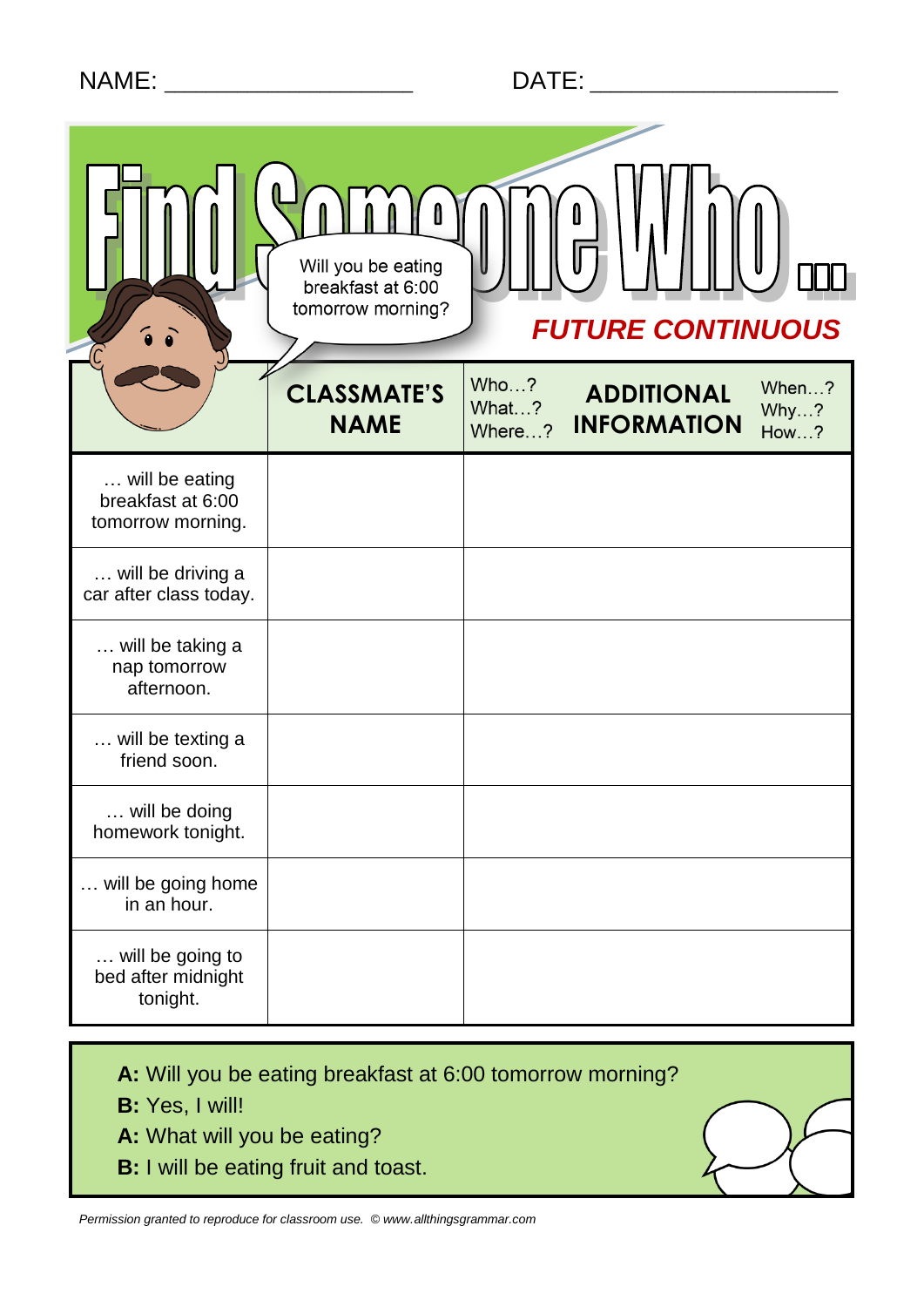# NAME: \_\_\_\_\_\_\_\_\_\_\_\_\_\_\_\_\_\_\_\_\_\_\_\_ DATE: \_\_\_\_\_\_\_\_\_\_\_\_\_\_\_\_\_\_\_\_\_\_\_\_

|                                                          | Will you be eating<br>breakfast at 6:00<br>tomorrow morning? |                         | <b>FUTURE CONTINUOUS</b>                |                              |
|----------------------------------------------------------|--------------------------------------------------------------|-------------------------|-----------------------------------------|------------------------------|
|                                                          | <b>CLASSMATE'S</b><br><b>NAME</b>                            | Who?<br>What?<br>Where? | <b>ADDITIONAL</b><br><b>INFORMATION</b> | When?<br>Why?<br><b>How?</b> |
| will be eating<br>breakfast at 6:00<br>tomorrow morning. |                                                              |                         |                                         |                              |
| will be driving a<br>car after class today.              |                                                              |                         |                                         |                              |
| will be taking a<br>nap tomorrow<br>afternoon.           |                                                              |                         |                                         |                              |
| will be texting a<br>friend soon.                        |                                                              |                         |                                         |                              |
| will be doing<br>homework tonight.                       |                                                              |                         |                                         |                              |
| will be going home<br>in an hour.                        |                                                              |                         |                                         |                              |
| will be going to<br>bed after midnight<br>tonight.       |                                                              |                         |                                         |                              |

**A:** Will you be eating breakfast at 6:00 tomorrow morning?

- **B:** Yes, I will!
- **A:** What will you be eating?
- **B:** I will be eating fruit and toast.